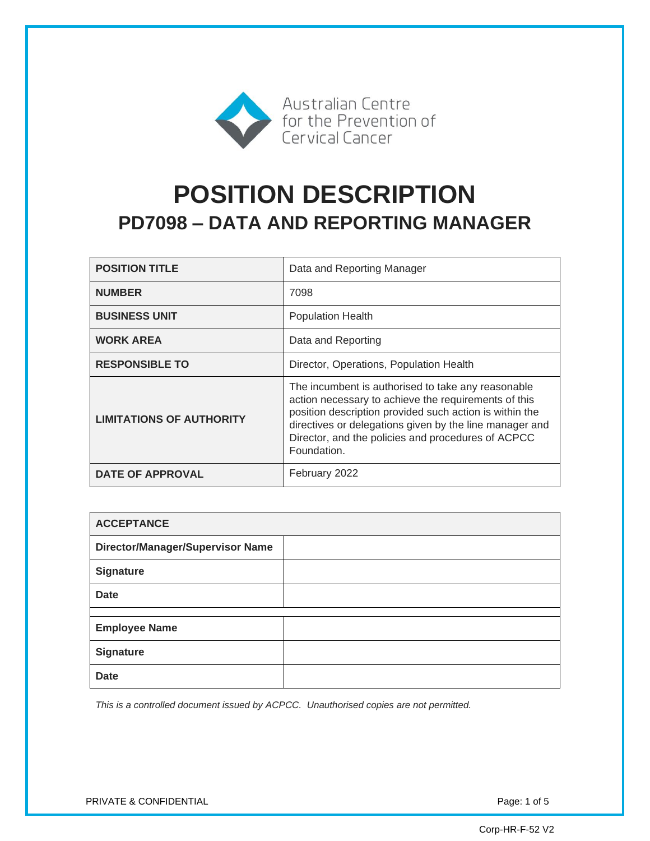

# **POSITION DESCRIPTION PD7098 – DATA AND REPORTING MANAGER**

| <b>POSITION TITLE</b>           | Data and Reporting Manager                                                                                                                                                                                                                                                                            |
|---------------------------------|-------------------------------------------------------------------------------------------------------------------------------------------------------------------------------------------------------------------------------------------------------------------------------------------------------|
| <b>NUMBER</b>                   | 7098                                                                                                                                                                                                                                                                                                  |
| <b>BUSINESS UNIT</b>            | <b>Population Health</b>                                                                                                                                                                                                                                                                              |
| <b>WORK AREA</b>                | Data and Reporting                                                                                                                                                                                                                                                                                    |
| <b>RESPONSIBLE TO</b>           | Director, Operations, Population Health                                                                                                                                                                                                                                                               |
| <b>LIMITATIONS OF AUTHORITY</b> | The incumbent is authorised to take any reasonable<br>action necessary to achieve the requirements of this<br>position description provided such action is within the<br>directives or delegations given by the line manager and<br>Director, and the policies and procedures of ACPCC<br>Foundation. |
| <b>DATE OF APPROVAL</b>         | February 2022                                                                                                                                                                                                                                                                                         |

| <b>ACCEPTANCE</b>                |  |
|----------------------------------|--|
| Director/Manager/Supervisor Name |  |
| <b>Signature</b>                 |  |
| <b>Date</b>                      |  |
|                                  |  |
| <b>Employee Name</b>             |  |
| <b>Signature</b>                 |  |
| <b>Date</b>                      |  |

*This is a controlled document issued by ACPCC. Unauthorised copies are not permitted.*

PRIVATE & CONFIDENTIAL PRIVATE & CONFIDENTIAL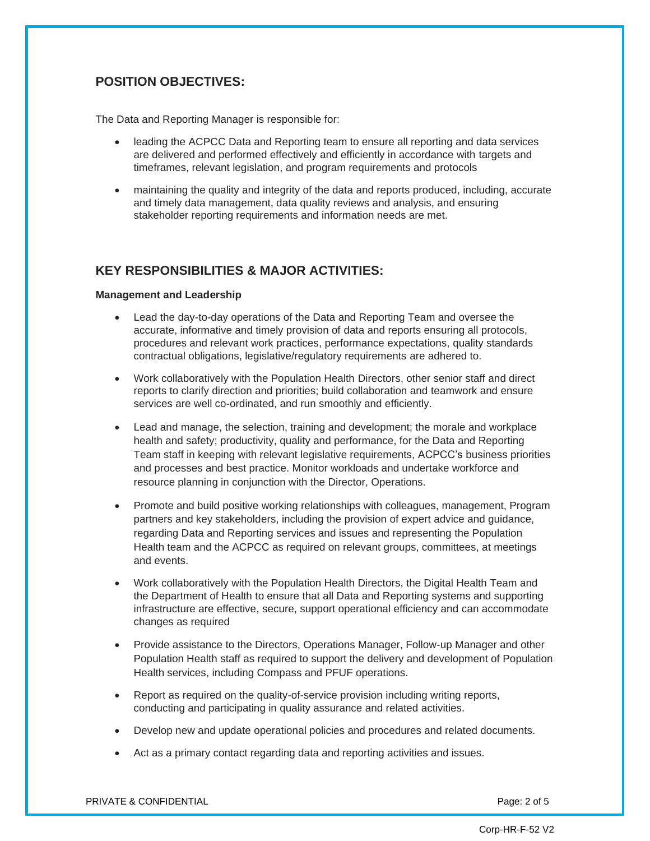# **POSITION OBJECTIVES:**

The Data and Reporting Manager is responsible for:

- leading the ACPCC Data and Reporting team to ensure all reporting and data services are delivered and performed effectively and efficiently in accordance with targets and timeframes, relevant legislation, and program requirements and protocols
- maintaining the quality and integrity of the data and reports produced, including, accurate and timely data management, data quality reviews and analysis, and ensuring stakeholder reporting requirements and information needs are met.

## **KEY RESPONSIBILITIES & MAJOR ACTIVITIES:**

#### **Management and Leadership**

- Lead the day-to-day operations of the Data and Reporting Team and oversee the accurate, informative and timely provision of data and reports ensuring all protocols, procedures and relevant work practices, performance expectations, quality standards contractual obligations, legislative/regulatory requirements are adhered to.
- Work collaboratively with the Population Health Directors, other senior staff and direct reports to clarify direction and priorities; build collaboration and teamwork and ensure services are well co-ordinated, and run smoothly and efficiently.
- Lead and manage, the selection, training and development; the morale and workplace health and safety; productivity, quality and performance, for the Data and Reporting Team staff in keeping with relevant legislative requirements, ACPCC's business priorities and processes and best practice. Monitor workloads and undertake workforce and resource planning in conjunction with the Director, Operations.
- Promote and build positive working relationships with colleagues, management, Program partners and key stakeholders, including the provision of expert advice and guidance, regarding Data and Reporting services and issues and representing the Population Health team and the ACPCC as required on relevant groups, committees, at meetings and events.
- Work collaboratively with the Population Health Directors, the Digital Health Team and the Department of Health to ensure that all Data and Reporting systems and supporting infrastructure are effective, secure, support operational efficiency and can accommodate changes as required
- Provide assistance to the Directors, Operations Manager, Follow-up Manager and other Population Health staff as required to support the delivery and development of Population Health services, including Compass and PFUF operations.
- Report as required on the quality-of-service provision including writing reports, conducting and participating in quality assurance and related activities.
- Develop new and update operational policies and procedures and related documents.
- Act as a primary contact regarding data and reporting activities and issues.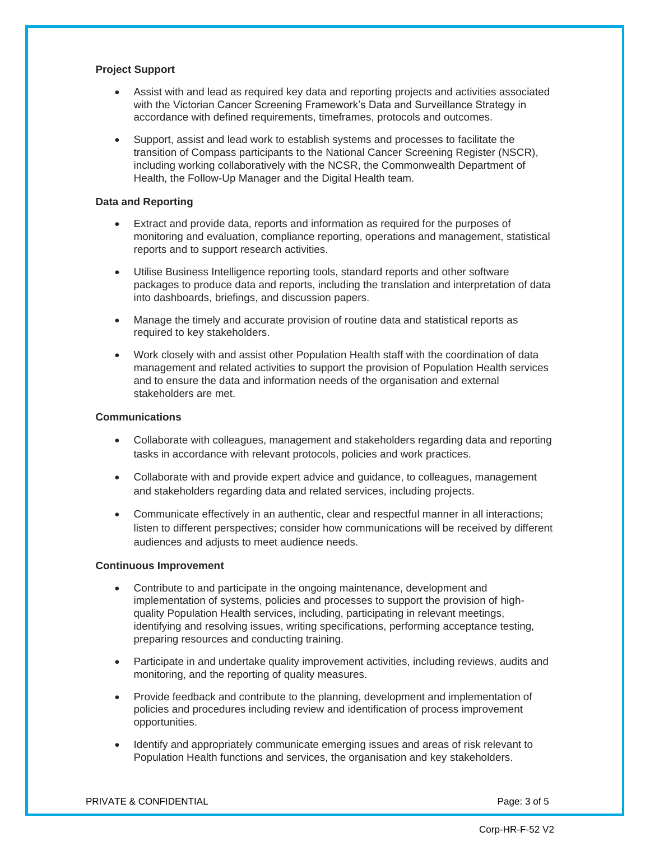#### **Project Support**

- Assist with and lead as required key data and reporting projects and activities associated with the Victorian Cancer Screening Framework's Data and Surveillance Strategy in accordance with defined requirements, timeframes, protocols and outcomes.
- Support, assist and lead work to establish systems and processes to facilitate the transition of Compass participants to the National Cancer Screening Register (NSCR), including working collaboratively with the NCSR, the Commonwealth Department of Health, the Follow-Up Manager and the Digital Health team.

#### **Data and Reporting**

- Extract and provide data, reports and information as required for the purposes of monitoring and evaluation, compliance reporting, operations and management, statistical reports and to support research activities.
- Utilise Business Intelligence reporting tools, standard reports and other software packages to produce data and reports, including the translation and interpretation of data into dashboards, briefings, and discussion papers.
- Manage the timely and accurate provision of routine data and statistical reports as required to key stakeholders.
- Work closely with and assist other Population Health staff with the coordination of data management and related activities to support the provision of Population Health services and to ensure the data and information needs of the organisation and external stakeholders are met.

#### **Communications**

- Collaborate with colleagues, management and stakeholders regarding data and reporting tasks in accordance with relevant protocols, policies and work practices.
- Collaborate with and provide expert advice and guidance, to colleagues, management and stakeholders regarding data and related services, including projects.
- Communicate effectively in an authentic, clear and respectful manner in all interactions; listen to different perspectives; consider how communications will be received by different audiences and adjusts to meet audience needs.

#### **Continuous Improvement**

- Contribute to and participate in the ongoing maintenance, development and implementation of systems, policies and processes to support the provision of highquality Population Health services, including, participating in relevant meetings, identifying and resolving issues, writing specifications, performing acceptance testing, preparing resources and conducting training.
- Participate in and undertake quality improvement activities, including reviews, audits and monitoring, and the reporting of quality measures.
- Provide feedback and contribute to the planning, development and implementation of policies and procedures including review and identification of process improvement opportunities.
- Identify and appropriately communicate emerging issues and areas of risk relevant to Population Health functions and services, the organisation and key stakeholders.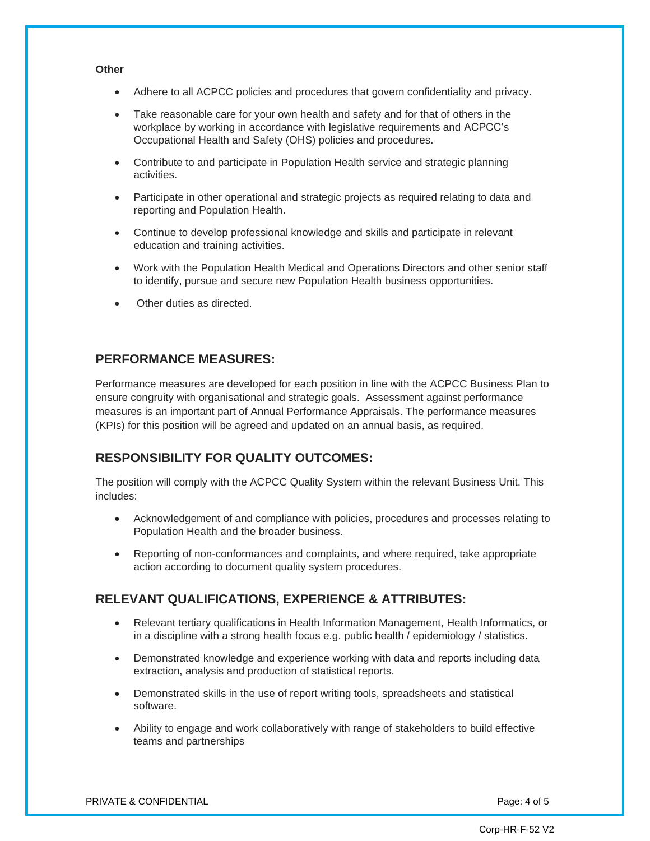#### **Other**

- Adhere to all ACPCC policies and procedures that govern confidentiality and privacy.
- Take reasonable care for your own health and safety and for that of others in the workplace by working in accordance with legislative requirements and ACPCC's Occupational Health and Safety (OHS) policies and procedures.
- Contribute to and participate in Population Health service and strategic planning activities.
- Participate in other operational and strategic projects as required relating to data and reporting and Population Health.
- Continue to develop professional knowledge and skills and participate in relevant education and training activities.
- Work with the Population Health Medical and Operations Directors and other senior staff to identify, pursue and secure new Population Health business opportunities.
- Other duties as directed.

## **PERFORMANCE MEASURES:**

Performance measures are developed for each position in line with the ACPCC Business Plan to ensure congruity with organisational and strategic goals. Assessment against performance measures is an important part of Annual Performance Appraisals. The performance measures (KPIs) for this position will be agreed and updated on an annual basis, as required.

## **RESPONSIBILITY FOR QUALITY OUTCOMES:**

The position will comply with the ACPCC Quality System within the relevant Business Unit. This includes:

- Acknowledgement of and compliance with policies, procedures and processes relating to Population Health and the broader business.
- Reporting of non-conformances and complaints, and where required, take appropriate action according to document quality system procedures.

## **RELEVANT QUALIFICATIONS, EXPERIENCE & ATTRIBUTES:**

- Relevant tertiary qualifications in Health Information Management, Health Informatics, or in a discipline with a strong health focus e.g. public health / epidemiology / statistics.
- Demonstrated knowledge and experience working with data and reports including data extraction, analysis and production of statistical reports.
- Demonstrated skills in the use of report writing tools, spreadsheets and statistical software.
- Ability to engage and work collaboratively with range of stakeholders to build effective teams and partnerships